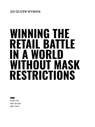# WINNING THE **RETAIL BATTLE IN A WORLD WITHOUT MASK RESTRICTIONS**

Pedro Yip Alex Shutter Wen Chen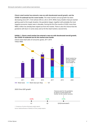**China's retail market has entered a new era with decelerated overall growth, and the COVID-19 outbreak has hit it even harder.** The retail market's annual growth has been decreasing since 2011, from almost 20% to c.6% in 2019. While many retailers had just started getting used to this tough situation, the pandemic began, together with probably the most negative economic impact seen in decades. During the first five months of 2020, more than RMB 2 trillion has already been wiped out from the market. There is also the chance that the pandemic will return in some areas and so hit the retail market a second time.

# **Exhibit 1. China's retail market has entered a new era with decelerated overall growth; the COVID-19 outbreak has hit the market even harder**



China's total retail sales of consumer goods, 2011-2019 Trillion RMB



1. Consensus of various third party analyst reports

Source: National Bureau of Statistics of China, analyst reports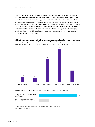**This turbulent situation is only going to accelerate structural changes in channel dynamics and consumer shopping behavior, resulting in China's retail market entering a "post-COVID normal".** Online channels were already gaining market share for more than a decade, with new formats emerging every day. However, during the past six months, consumers have embraced online shopping much more than before, with even the elderly and high-income group shopping less offline and more online. Moreover, although offline stores will still have a role to play, the bar to draw traffic is increasing. Further market polarization is also expected, with trading up remaining robust in the middle and upper class segments, and trading down continuing to emerge in the lower income group.

# **Exhibit 2. Most retailers expect it will take more than six months to fully recover, and many are making changes to their retail footprint and channel strategy**



How long do you estimate it would take your business to return to levels before COVID-191?

How will COVID-19 impact your company's sales network for the rest of the year<sup>1</sup>?



1. CBRE Asia Pacific Retail Flash Survey (N=33), conducted between April 28 to May 21, 2020 Source: Oliver Wyman analysis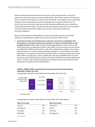Retailers have already pulled many short-term levers, such as big promotions, assortment adjustments, and cost cutting, to survive this difficult time. Most of them expect it will take more than six months for their business to fully recover. Meanwhile, many leaders are also considering changes to their retail footprint and channel strategy to win in the post-COVID normal. To thrive in this new environment, they need to think carefully and differently, as the market has experienced profound changes. They should make quick decisions within their current footprint to prioritize daily investment and explore new avenues to drive future growth and pre-empt competitors.

Based on Oliver Wyman's understanding of China's retail market, we wish to share three observations with ambitious retailers who want win in this post-COVID normal:

**• Accept the fact that a lot of existing stores will never come back to profitability after the pandemic, so be bold and close them quickly to cut losses and double down on new strategic locations.** Offline traffic has been recovering gradually, but many stores are still under heavy pressure, especially in high tier cities. Within a city, the recovery rate can also be very different for different catchments or malls, with multiple factors at play, such as target customers (locals vs. tourists), product proposition (premium vs. mass market), and location (residential vs. commercial). In the first five months of 2020, c.10% physical stores were closed down, while it is usually only c.15% for a whole year. Even some profitable stores may never come back to pre-COVID performance levels, as consumer behavior has changed significantly. Thus it is critical to take a forward-looking view to estimate the future performance of each existing store to quickly make the right decision.

# **Exhibit 3. Offline traffic is recovering, but many stores are still under pressure, especially in higher-tier cities**



Average daily mall traffic in April 2020 as % of December 2019, by city tier

Average daily mall traffic in April 2020 as % of December 2019, within Beijing

| Above city average |     | <b>Below city average</b> |     |
|--------------------|-----|---------------------------|-----|
| Yizhuang           | 65% | Dongzhimen                | 45% |
| Tiantongyuan       | 57% | Sanlitun                  | 44% |
| Shuangjing         | 56% | Wukesong                  | 37% |
| Wangfujing         | 56% | Zhongguancun              | 36% |
|                    |     |                           |     |

Source: Windata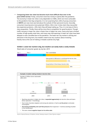**• Conquering lower tier cities has become much more difficult than ever in the post-COVID normal.** Firstly, consumers have less money to spend after the pandemic. The economy in lower tier cities is very dependent on SMEs, which are more vulnerable to the pandemic than big companies. It is not surprising that c.60% of young consumers (小镇青年) are now more worried about the outlook of their personal income. Secondly, consumers have become more polarized. While c.50% in tier 4 cities claim they now prefer less-expensive products, c.30% claim they will keep trading up. Thus, it is not easy to find a clear proposition. Thirdly, there will be more fierce competition for good locations. Though traffic recovery in lower tier cities is faster than in higher tier ones, many only have a limited number of high-quality retail sites, and many new mall openings in lower tier cities have been delayed or even cancelled due to the pandemic. The lower-tier-city market is still big and attractive in the long term, but retailers need to be very cautious about investing heavily now as the cost of making a mistake could be very high.

# **Exhibit 4. Lower-tier market is big, but retailers can easily make a costly mistake**



Retail sales of consumer goods, by city tier, 2019



Source: National Bureau of Statistics, Kantar, Desktop research, Oliver Wyman analysis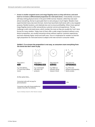**• Invest in smaller targeted stores and mega flagship stores as they will thrive; and work hard to re-invent a differentiated proposition for mid-sized stores.** Undoubtedly consumers will keep visiting physical stores in the post-COVID normal. However, while they now want almost everything, the bar to persuade them to visit and pay is much higher. Retailers have experimented many new store formats. Some have launched small stores with a very targeted purpose, flexible locations, and relatively low cost to ensure profitability. Others have opened mega flagship stores to offer extraordinary customer service and experiences. The key challenge is with mid-sized stores, which number the most as they are usually the "core" store format for many retailers. Today most of them offer a wide range of products without a very distinct proposition, are usually transaction-driven without superior customer experiences, and have relatively higher rental and staff costs. Thus it is imperative for retailers to find the right proposition for mid-sized stores to adapt to the new normal in consumer needs.

# **Exhibit 5. To re-invent the proposition is not easy, as consumers want everything from the stores but don't want to pay**



They want it **NOW**

E.g. Fast delivery (<1 hour) from offline stores



They want it **PERSONALISED**

E.g. Customized skin tests, DIY products



They want the **SERVICE**

E.g. Make up tutorials, group classes in store



They want the **EXPERIENCES**

E.g. All-in-one passport photography, Game arcades

At the same time...



Source: Desktop research, Oliver Wyman analysis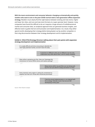**With the macro environment and consumer behavior changing so dramatically and quickly, retailers who want to win in the post-COVID normal need a next-generation offline expansion strategy.** Retailers must clearly find the right balance between existing and new stores, higher and lower tier cities, and core and new store formats at a super granular level. However, many companies have found this difficult to do as it requires a huge amount of multidimensional market and consumer data, an analytical approach that can generate business insights, and effective tools to guide internal communication and implementation. As a result, they either spend months developing their strategy before being beaten out by another competitor or find a big disconnection between their strategy development and its implementation.

# **Exhibit 6. CEOs/CFOs/Strategy Directors talking about their pain points with expansion strategy development and implementation**

It is really difficult and time-consuming to identify the next high potential market, we don't have the data.

> Customers in different cities are so different, but we only understand very little about them, and it's easily outdated.

Now online is growing very fast. How can I leverage this momentum to revive offline stores and realize synergy?

> Many stores within my portfolio are not doing well, but I'm not sure which to keep and which to close.

Every channel, every region is asking for investment to expand, but how can I know who should be prioritized.

> I feel the actual implementation is not aligned with the strategy. Nobody trusts it but we are still developing it every year.

Source: Oliver Wyman analysis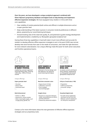**Over the years, we have developed a unique analytical approach combined with Oliver Wyman's proprietary database and digital tools to help develop and implement effective expansion strategies.** We have equipped many retailers in China with three core capabilities:

- Clear visibility of market potential (both online and offline) in multiple dimensions and at a super granular level
- Deep understanding of the latest nuances in consumer trends & preferences in different places, powered by our social listening techniques
- Forward-looking view of the retail site quality, fit, and potential to guide strategy development and implementation, enabled by our Bluespider geospatial analytical tool

Having these three key capabilities in hand will make it much more efficient and accurate for retailers to develop effective offline expansion strategies to win in the post-COVID new normal, develop new store formats that cater to the needs of consumers, and make the right decisions for store network rationalization. Our unique offerings make life easier for both senior executives and frontline operational teams.



# **COMPREHENSIVE VIEW OF MARKET POTENTIAL**

enabled by a proven approach and proprietary data, covering >200 cities, >90% of China's market

#### **Super granular level**

- City level
- District level
- Catchment level
- …

#### **Multi-dimensional**

- Online vs. offline
- Historical vs. future market
- Other meaningful angles, such
- as age group, gender, etc.



### **LATEST NUANCES IN CONSUMER NEEDS**

reflected in format design and site selection, by using our social listening techniques

#### **Real-time consumer voice**

- Huge amount of data
- Collected in real time
- From multiple sources/languages

#### **Insight driven**

- Nuances in consumer behavior, needs, and preference to inform business decisions
- Powered by advanced analytics



# **CLEAR PICTURE OF RETAIL SITES**

to assess current and future store network, powered by our Bluespider web-based geospatial analytical tool

#### Unique offerings:  $\vert$  Unique offerings:  $\vert$  Unique offerings:

#### **Full pic of retail sites (>10K)**

- Proposition
- Traffic & productivity
- Consumer ratings
- …

#### **Visualized digital tools**

- For both senior leadership and teams at the front line
- "Mission control" dashboard
- for everyone, everywhere

Contact us for more information about the next generation of effective offline expansion strategies and our proprietary tools.